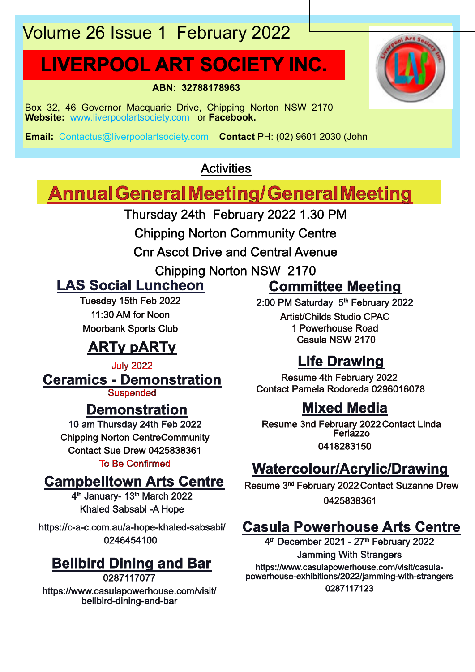# Volume 26 Issue 1 February 2022

# **LIVERPOOL ART SOCIETY INC.**

**ABN: 32788178963**

Box 32, 46 Governor Macquarie Drive, Chipping Norton NSW 2170 **Website:** www.liverpoolartsociety.com or **Facebook.**

**Email:** Contactus@liverpoolartsociety.com **Contact** PH: (02) 9601 2030 (John

## **Activities**

## **AnnualGeneralMeeting/GeneralMeeting**

Thursday 24th February 2022 1.30 PM

Chipping Norton Community Centre

Cnr Ascot Drive and Central Avenue

Chipping Norton NSW 2170

## **LAS Social Luncheon**

Tuesday 15th Feb 2022 11:30 AM for Noon Moorbank Sports Club

## **ARTy pARTy**

**Ceramics - Demonstration** July 2022

**Suspended** 

## **Demonstration**

10 am Thursday 24th Feb 2022 Chipping Norton CentreCommunity Contact Sue Drew 0425838361 To Be Confirmed

## **Campbelltown Arts Centre**

4<sup>th</sup> January- 13<sup>th</sup> March 2022 Khaled Sabsabi -A Hope

https://c-a-c.com.au/a-hope-khaled-sabsabi/ 0246454100

## **Bellbird Dining and Bar**

0287117077 https://www.casulapowerhouse.com/visit/ bellbird-dining-and-bar

## **Committee Meeting**

2:00 PM Saturday 5<sup>th</sup> February 2022 Artist/Childs Studio CPAC 1 Powerhouse Road Casula NSW 2170

## **Life Drawing**

Resume 4th February 2022 Contact Pamela Rodoreda 0296016078

## **Mixed Media**

Resume 3nd February 2022Contact Linda **Ferlazzo** 0418283150

## **Watercolour/Acrylic/Drawing**

Resume 3<sup>nd</sup> February 2022 Contact Suzanne Drew 0425838361

## **Casula Powerhouse Arts Centre**

4<sup>th</sup> December 2021 - 27<sup>th</sup> February 2022 Jamming With Strangers https://www.casulapowerhouse.com/visit/casulapowerhouse-exhibitions/2022/jamming-with-strangers 0287117123

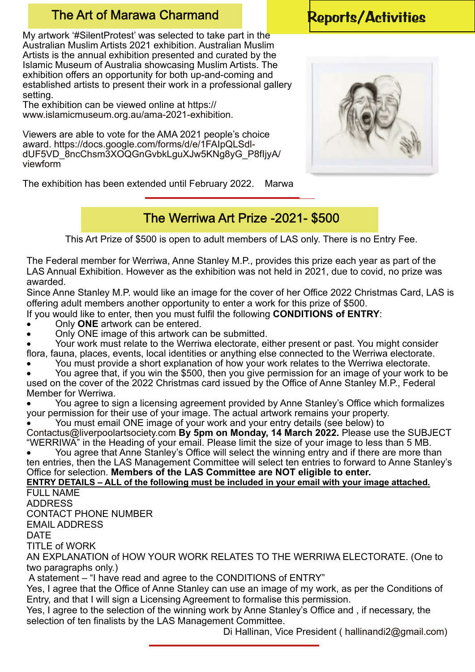## The Art of Marawa Charmand [Reports/Activities](http://cbs.wondershare.com/go.php?pid=5239&m=db)

My artwork '#SilentProtest' was selected to take part in the Australian Muslim Artists 2021 exhibition. Australian Muslim Artists is the annual exhibition presented and curated by the Islamic Museum of Australia showcasing Muslim Artists. The exhibition offers an opportunity for both up-and-coming and established artists to present their work in a professional gallery setting.

The exhibition can be viewed online at https:// www.islamicmuseum.org.au/ama-2021-exhibition.

Viewers are able to vote for the AMA 2021 people's choice award. https://docs.google.com/forms/d/e/1FAIpQLSdldUF5VD\_8ncChsm3XOQGnGvbkLguXJw5KNg8yG\_P8fIjyA/ viewform

The exhibition has been extended until February 2022. Marwa

## The Werriwa Art Prize -2021- \$500

This Art Prize of \$500 is open to adult members of LAS only. There is no Entry Fee.

The Federal member for Werriwa, Anne Stanley M.P., provides this prize each year as part of the LAS Annual Exhibition. However as the exhibition was not held in 2021, due to covid, no prize was awarded.

Since Anne Stanley M.P. would like an image for the cover of her Office 2022 Christmas Card, LAS is offering adult members another opportunity to enter a work for this prize of \$500.

If you would like to enter, then you must fulfil the following **CONDITIONS of ENTRY**:

- � Only **ONE** artwork can be entered.
- � Only ONE image of this artwork can be submitted.

Your work must relate to the Werriwa electorate, either present or past. You might consider flora, fauna, places, events, local identities or anything else connected to the Werriwa electorate.

You must provide a short explanation of how your work relates to the Werriwa electorate.

You agree that, if you win the \$500, then you give permission for an image of your work to be used on the cover of the 2022 Christmas card issued by the Office of Anne Stanley M.P., Federal Member for Werriwa.

You agree to sign a licensing agreement provided by Anne Stanley's Office which formalizes your permission for their use of your image. The actual artwork remains your property.

� You must email ONE image of your work and your entry details (see below) to Contactus@liverpoolartsociety.com **By 5pm on Monday, 14 March 2022.** Please use the SUBJECT

"WERRIWA" in the Heading of your email. Please limit the size of your image to less than 5 MB. You agree that Anne Stanley's Office will select the winning entry and if there are more than

ten entries, then the LAS Management Committee will select ten entries to forward to Anne Stanley's Office for selection. **Members of the LAS Committee are NOT eligible to enter.**

**ENTRY DETAILS – ALL of the following must be included in your email with your image attached.** FULL NAME

ADDRESS

CONTACT PHONE NUMBER

EMAIL ADDRESS

DATE

TITLE of WORK

AN EXPLANATION of HOW YOUR WORK RELATES TO THE WERRIWA ELECTORATE. (One to two paragraphs only.)

A statement – "I have read and agree to the CONDITIONS of ENTRY"

Yes, I agree that the Office of Anne Stanley can use an image of my work, as per the Conditions of Entry, and that I will sign a Licensing Agreement to formalise this permission.

Yes, I agree to the selection of the winning work by Anne Stanley's Office and , if necessary, the selection of ten finalists by the LAS Management Committee.

Di Hallinan, Vice President ( hallinandi2@gmail.com)

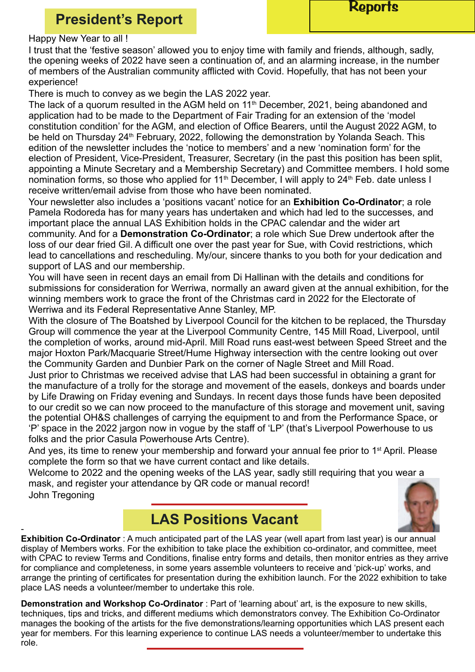### [Reports](http://cbs.wondershare.com/go.php?pid=5239&m=db)

## **President's Report**

#### Happy New Year to all !

I trust that the 'festive season' allowed you to enjoy time with family and friends, although, sadly, the opening weeks of 2022 have seen a continuation of, and an alarming increase, in the number of members of the Australian community afflicted with Covid. Hopefully, that has not been your experience!

There is much to convey as we begin the LAS 2022 year.

The lack of a quorum resulted in the AGM held on 11<sup>th</sup> December, 2021, being abandoned and application had to be made to the Department of Fair Trading for an extension of the 'model constitution condition' for the AGM, and election of Office Bearers, until the August 2022 AGM, to be held on Thursday 24<sup>th</sup> February, 2022, following the demonstration by Yolanda Seach. This edition of the newsletter includes the 'notice to members' and a new 'nomination form' for the election of President, Vice-President, Treasurer, Secretary (in the past this position has been split, appointing a Minute Secretary and a Membership Secretary) and Committee members. I hold some nomination forms, so those who applied for 11<sup>th</sup> December, I will apply to  $24<sup>th</sup>$  Feb. date unless I receive written/email advise from those who have been nominated.

Your newsletter also includes a 'positions vacant' notice for an **Exhibition Co-Ordinator**; a role Pamela Rodoreda has for many years has undertaken and which had led to the successes, and important place the annual LAS Exhibition holds in the CPAC calendar and the wider art community. And for a **Demonstration Co-Ordinator**; a role which Sue Drew undertook after the loss of our dear fried Gil. A difficult one over the past year for Sue, with Covid restrictions, which lead to cancellations and rescheduling. My/our, sincere thanks to you both for your dedication and support of LAS and our membership.

You will have seen in recent days an email from Di Hallinan with the details and conditions for submissions for consideration for Werriwa, normally an award given at the annual exhibition, for the winning members work to grace the front of the Christmas card in 2022 for the Electorate of Werriwa and its Federal Representative Anne Stanley, MP.

With the closure of The Boatshed by Liverpool Council for the kitchen to be replaced, the Thursday Group will commence the year at the Liverpool Community Centre, 145 Mill Road, Liverpool, until the completion of works, around mid-April. Mill Road runs east-west between Speed Street and the major Hoxton Park/Macquarie Street/Hume Highway intersection with the centre looking out over the Community Garden and Dunbier Park on the corner of Nagle Street and Mill Road.

Just prior to Christmas we received advise that LAS had been successful in obtaining a grant for the manufacture of a trolly for the storage and movement of the easels, donkeys and boards under by Life Drawing on Friday evening and Sundays. In recent days those funds have been deposited to our credit so we can now proceed to the manufacture of this storage and movement unit, saving the potential OH&S challenges of carrying the equipment to and from the Performance Space, or 'P' space in the 2022 jargon now in vogue by the staff of 'LP' (that's Liverpool Powerhouse to us folks and the prior Casula Powerhouse Arts Centre).

And yes, its time to renew your membership and forward your annual fee prior to 1<sup>st</sup> April. Please complete the form so that we have current contact and like details.

Welcome to 2022 and the opening weeks of the LAS year, sadly still requiring that you wear a mask, and register your attendance by QR code or manual record! John Tregoning





- **Exhibition Co-Ordinator** : A much anticipated part of the LAS year (well apart from last year) is our annual display of Members works. For the exhibition to take place the exhibition co-ordinator, and committee, meet with CPAC to review Terms and Conditions, finalise entry forms and details, then monitor entries as they arrive for compliance and completeness, in some years assemble volunteers to receive and 'pick-up' works, and arrange the printing of certificates for presentation during the exhibition launch. For the 2022 exhibition to take place LAS needs a volunteer/member to undertake this role.

**Demonstration and Workshop Co-Ordinator** : Part of 'learning about' art, is the exposure to new skills, techniques, tips and tricks, and different mediums which demonstrators convey. The Exhibition Co-Ordinator manages the booking of the artists for the five demonstrations/learning opportunities which LAS present each year for members. For this learning experience to continue LAS needs a volunteer/member to undertake this role.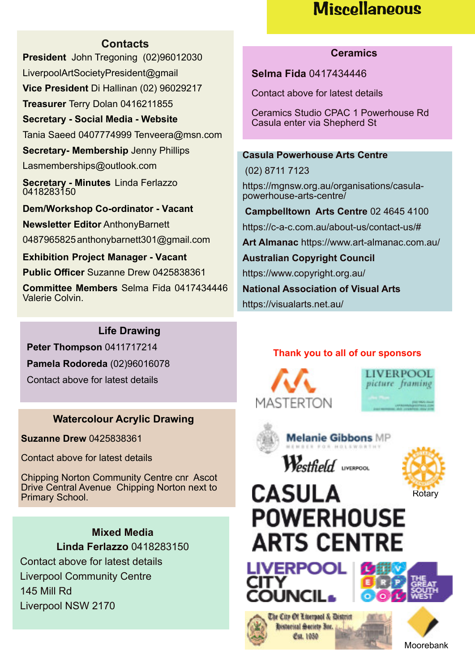## **Miscellaneous**

#### **Contacts**

**President** John Tregoning (02)96012030 LiverpoolArtSocietyPresident@gmail **Vice President** Di Hallinan (02) 96029217 **Treasurer** Terry Dolan 0416211855 **Secretary - Social Media - Website** Tania Saeed 0407774999 Tenveera@msn.com **Secretary- Membership** Jenny Phillips Lasmemberships@outlook.com **Secretary - Minutes** Linda Ferlazzo 0418283150 **Dem/Workshop Co-ordinator - Vacant Newsletter Editor** AnthonyBarnett 0487965825anthonybarnett301@gmail.com

**Exhibition Project Manager - Vacant Public Officer** Suzanne Drew 0425838361

**Committee Members** Selma Fida 0417434446 Valerie Colvin.

#### **Ceramics**

**Selma Fida** 0417434446

Contact above for latest details

Ceramics Studio CPAC 1 Powerhouse Rd Casula enter via Shepherd St

#### **Casula Powerhouse Arts Centre**

(02) 8711 7123 https://mgnsw.org.au/organisations/casulapowerhouse-arts-centre/ **Campbelltown Arts Centre** 02 4645 4100 https://c-a-c.com.au/about-us/contact-us/# **Art Almanac** https://www.art-almanac.com.au/ **Australian Copyright Council** https://www.copyright.org.au/ **National Association of Visual Arts** https://visualarts.net.au/

#### **Life Drawing**

**Peter Thompson** 0411717214 **Pamela Rodoreda** (02)96016078

Contact above for latest details

#### **Watercolour Acrylic Drawing**

**Suzanne Drew** 0425838361

Contact above for latest details

Chipping Norton Community Centre cnr Ascot Drive Central Avenue Chipping Norton next to Primary School.

> **Mixed Media Linda Ferlazzo** 0418283150

Contact above for latest details Liverpool Community Centre 145 Mill Rd Liverpool NSW 2170

#### **Thank you to all of our sponsors**







**Melanie Gibbons MP** 

Westfield uvercon



# **CASULA POWERHOUSE ARTS CENTRE**









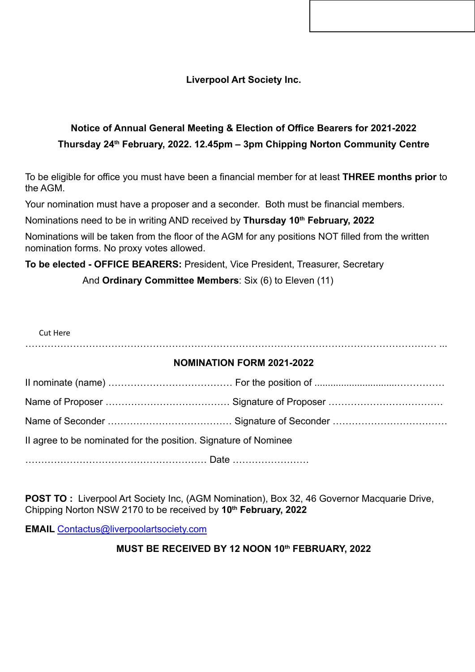**Liverpool Art Society Inc.**

### **Notice of Annual General Meeting & Election of Office Bearers for 2021-2022 Thursday 24th February, 2022. 12.45pm – 3pm Chipping Norton Community Centre**

To be eligible for office you must have been a financial member for at least **THREE months prior** to the AGM.

Your nomination must have a proposer and a seconder. Both must be financial members.

Nominations need to be in writing AND received by **Thursday 10th February, 2022**

Nominations will be taken from the floor of the AGM for any positions NOT filled from the written nomination forms. No proxy votes allowed.

**To be elected - OFFICE BEARERS:** President, Vice President, Treasurer, Secretary

And **Ordinary Committee Members**: Six (6) to Eleven (11)

Cut Here ………………………………………………………………………………………………………………… ... **NOMINATION FORM 2021-2022**

| Il agree to be nominated for the position. Signature of Nominee |  |  |
|-----------------------------------------------------------------|--|--|
|                                                                 |  |  |

**POST TO :** Liverpool Art Society Inc, (AGM Nomination), Box 32, 46 Governor Macquarie Drive, Chipping Norton NSW 2170 to be received by **10th February, 2022**

**EMAIL** Contactus@liverpoolartsociety.com

#### **MUST BE RECEIVED BY 12 NOON 10th FEBRUARY, 2022**